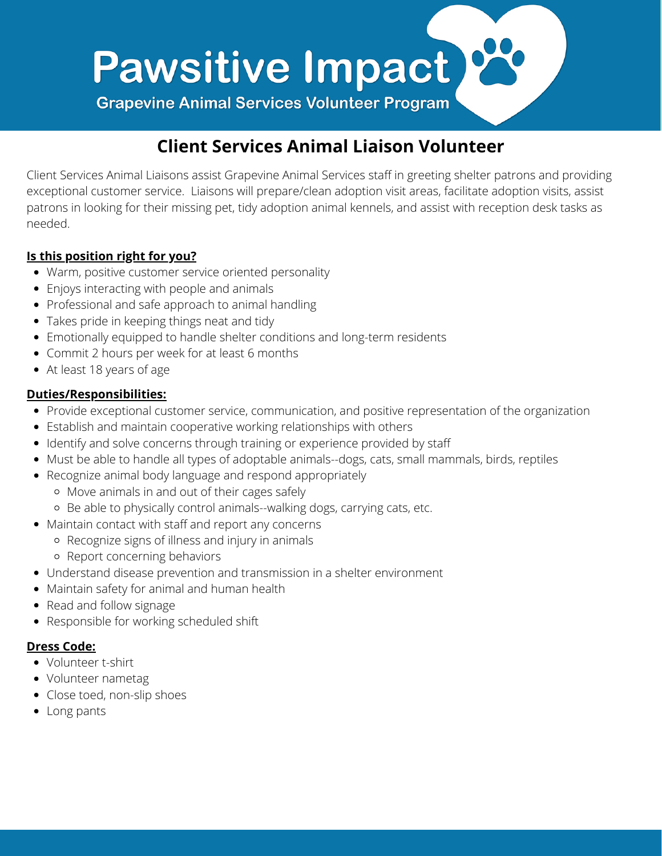

# **Client Services Animal Liaison Volunteer**

Client Services Animal Liaisons assist Grapevine Animal Services staff in greeting shelter patrons and providing exceptional customer service. Liaisons will prepare/clean adoption visit areas, facilitate adoption visits, assist patrons in looking for their missing pet, tidy adoption animal kennels, and assist with reception desk tasks as needed.

### **Is this position right for you?**

- Warm, positive customer service oriented personality
- Enjoys interacting with people and animals
- Professional and safe approach to animal handling
- Takes pride in keeping things neat and tidy
- Emotionally equipped to handle shelter conditions and long-term residents
- Commit 2 hours per week for at least 6 months
- At least 18 years of age

### **Duties/Responsibilities:**

- Provide exceptional customer service, communication, and positive representation of the organization
- Establish and maintain cooperative working relationships with others
- Identify and solve concerns through training or experience provided by staff
- Must be able to handle all types of adoptable animals--dogs, cats, small mammals, birds, reptiles
- Recognize animal body language and respond appropriately
	- Move animals in and out of their cages safely
	- Be able to physically control animals--walking dogs, carrying cats, etc.
- Maintain contact with staff and report any concerns
	- Recognize signs of illness and injury in animals
	- Report concerning behaviors
- Understand disease prevention and transmission in a shelter environment
- Maintain safety for animal and human health
- Read and follow signage
- Responsible for working scheduled shift

## **Dress Code:**

- Volunteer t-shirt
- Volunteer nametag
- Close toed, non-slip shoes
- Long pants